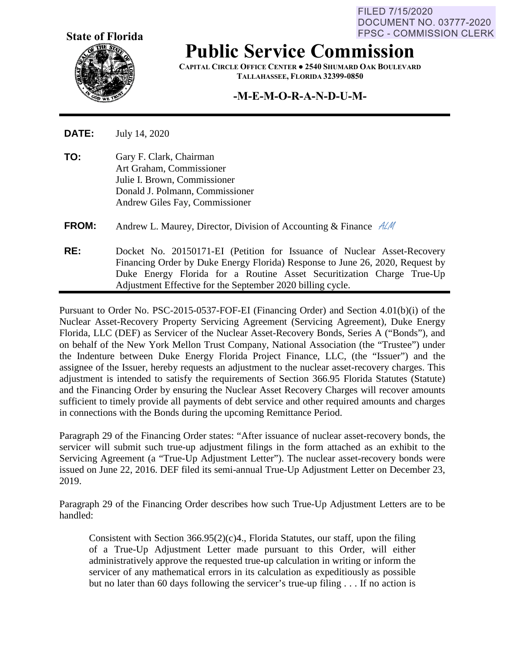FILED 7/15/2020 **DOCUMENT NO. 03777-2020 FPSC - COMMISSION CLERK** 



**Public Service Commission**

**CAPITAL CIRCLE OFFICE CENTER ● 2540 SHUMARD OAK BOULEVARD TALLAHASSEE, FLORIDA 32399-0850**

## **-M-E-M-O-R-A-N-D-U-M-**

**DATE:** July 14, 2020

**TO:** Gary F. Clark, Chairman Art Graham, Commissioner Julie I. Brown, Commissioner Donald J. Polmann, Commissioner Andrew Giles Fay, Commissioner

**FROM:** Andrew L. Maurey, Director, Division of Accounting & Finance  $A/M$ 

**RE:** Docket No. 20150171-EI (Petition for Issuance of Nuclear Asset-Recovery Financing Order by Duke Energy Florida) Response to June 26, 2020, Request by Duke Energy Florida for a Routine Asset Securitization Charge True-Up Adjustment Effective for the September 2020 billing cycle.

Pursuant to Order No. PSC-2015-0537-FOF-EI (Financing Order) and Section 4.01(b)(i) of the Nuclear Asset-Recovery Property Servicing Agreement (Servicing Agreement), Duke Energy Florida, LLC (DEF) as Servicer of the Nuclear Asset-Recovery Bonds, Series A ("Bonds"), and on behalf of the New York Mellon Trust Company, National Association (the "Trustee") under the Indenture between Duke Energy Florida Project Finance, LLC, (the "Issuer") and the assignee of the Issuer, hereby requests an adjustment to the nuclear asset-recovery charges. This adjustment is intended to satisfy the requirements of Section 366.95 Florida Statutes (Statute) and the Financing Order by ensuring the Nuclear Asset Recovery Charges will recover amounts sufficient to timely provide all payments of debt service and other required amounts and charges in connections with the Bonds during the upcoming Remittance Period.

Paragraph 29 of the Financing Order states: "After issuance of nuclear asset-recovery bonds, the servicer will submit such true-up adjustment filings in the form attached as an exhibit to the Servicing Agreement (a "True-Up Adjustment Letter"). The nuclear asset-recovery bonds were issued on June 22, 2016. DEF filed its semi-annual True-Up Adjustment Letter on December 23, 2019.

Paragraph 29 of the Financing Order describes how such True-Up Adjustment Letters are to be handled:

Consistent with Section 366.95(2)(c)4., Florida Statutes, our staff, upon the filing of a True-Up Adjustment Letter made pursuant to this Order, will either administratively approve the requested true-up calculation in writing or inform the servicer of any mathematical errors in its calculation as expeditiously as possible but no later than 60 days following the servicer's true-up filing . . . If no action is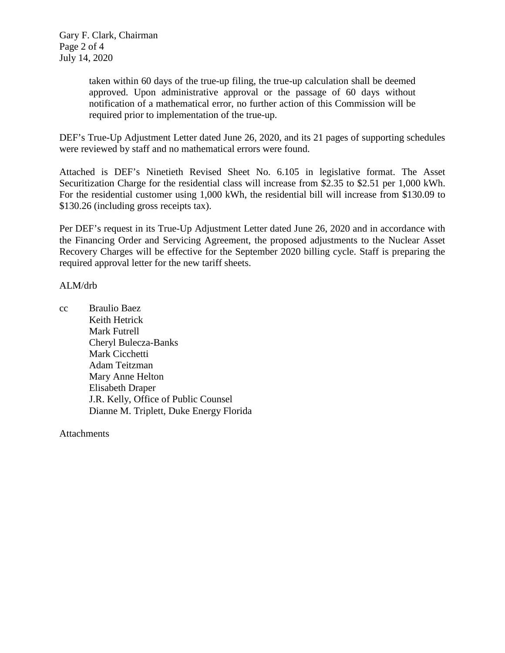taken within 60 days of the true-up filing, the true-up calculation shall be deemed approved. Upon administrative approval or the passage of 60 days without notification of a mathematical error, no further action of this Commission will be required prior to implementation of the true-up.

DEF's True-Up Adjustment Letter dated June 26, 2020, and its 21 pages of supporting schedules were reviewed by staff and no mathematical errors were found.

Attached is DEF's Ninetieth Revised Sheet No. 6.105 in legislative format. The Asset Securitization Charge for the residential class will increase from \$2.35 to \$2.51 per 1,000 kWh. For the residential customer using 1,000 kWh, the residential bill will increase from \$130.09 to \$130.26 (including gross receipts tax).

Per DEF's request in its True-Up Adjustment Letter dated June 26, 2020 and in accordance with the Financing Order and Servicing Agreement, the proposed adjustments to the Nuclear Asset Recovery Charges will be effective for the September 2020 billing cycle. Staff is preparing the required approval letter for the new tariff sheets.

## ALM/drb

cc Braulio Baez Keith Hetrick Mark Futrell Cheryl Bulecza-Banks Mark Cicchetti Adam Teitzman Mary Anne Helton Elisabeth Draper J.R. Kelly, Office of Public Counsel Dianne M. Triplett, Duke Energy Florida

**Attachments**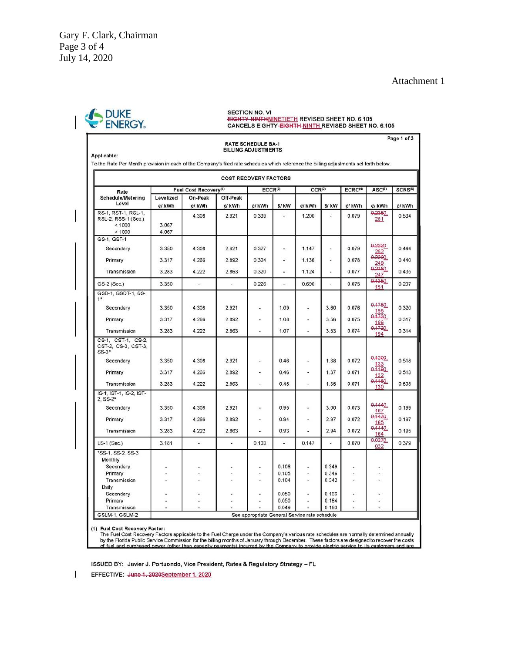## Attachment 1

| Applicable:<br>To the Rate Per Month provision in each of the Company's filed rate schedules which reference the billing adjustments set forth below. |                                   |                   |                    | <b>RATE SCHEDULE BA-1</b><br><b>BILLING ADJUSTMENTS</b> |                          |                          |                |                     |                | Page 1 of 3         |
|-------------------------------------------------------------------------------------------------------------------------------------------------------|-----------------------------------|-------------------|--------------------|---------------------------------------------------------|--------------------------|--------------------------|----------------|---------------------|----------------|---------------------|
| <b>COST RECOVERY FACTORS</b>                                                                                                                          |                                   |                   |                    |                                                         |                          |                          |                |                     |                |                     |
| Rate<br>Schedule/Metering<br>Level                                                                                                                    | Fuel Cost Recovery <sup>(1)</sup> |                   |                    | ECCR <sup>(2)</sup><br>CCR <sup>(3)</sup>               |                          |                          |                | ECRC <sup>(4)</sup> | ASC(5)         | SCRS <sup>(6)</sup> |
|                                                                                                                                                       | Levelized<br>¢/ kWh               | On-Peak<br>¢/ kWh | Off-Peak<br>¢/ kWh | ¢/ kWh                                                  | \$/kW                    | ¢/ kWh                   | \$/ kW         | ¢/ kWh              | ¢/ kWh         | ¢/ kWh              |
| RS-1, RST-1, RSL-1,<br>RSL-2, RSS-1 (Sec.)<br>< 1000<br>>1000                                                                                         | 3.067<br>4.067                    | 4.308             | 2.921              | 0.339                                                   | ۷                        | 1.200                    | ۷              | 0.079               | 0.2350.<br>251 | 0.534               |
| GS-1, GST-1                                                                                                                                           |                                   |                   |                    |                                                         |                          |                          |                |                     |                |                     |
| Secondary                                                                                                                                             | 3.350                             | 4.308             | 2.921              | 0.327                                                   | $\bullet$                | 1.147                    | ×              | 0.079               | 0.2220.<br>252 | 0.444               |
| Primary                                                                                                                                               | 3.317                             | 4.266             | 2.892              | 0.324                                                   | $\overline{\phantom{a}}$ | 1.136                    | ¥,             | 0.078               | 0.2200<br>249  | 0.440               |
| Transmission                                                                                                                                          | 3.283                             | 4.222             | 2.863              | 0.320                                                   | ¥                        | 1.124                    | ä,             | 0.077               | 0.2180<br>247  | 0.435               |
| GS-2 (Sec.)                                                                                                                                           | 3.350                             | $\omega_{\rm i}$  | μ                  | 0.226                                                   | $\omega$                 | 0.690                    | ä,             | 0.075               | 0.1350<br>151  | 0.207               |
| GSD-1, GSDT-1, SS-<br>$1*$                                                                                                                            |                                   |                   |                    |                                                         |                          |                          |                |                     |                |                     |
| Secondary                                                                                                                                             | 3.350                             | 4.308             | 2.921              | ä,                                                      | 1.09                     | ÷                        | 3.60           | 0.076               | 0.1750.<br>198 | 0.320               |
| Primary                                                                                                                                               | 3.317                             | 4.266             | 2.892              | ¥                                                       | 1.08                     | ÷.                       | 3.56           | 0.075               | 0.1730<br>196  | 0.317               |
| Transmission                                                                                                                                          | 3.283                             | 4.222             | 2.863              | ¥                                                       | 1.07                     |                          | 3.53           | 0.074               | 0.1720<br>194  | 0.314               |
| CS-1, CST-1, CS-2,<br>CST-2, CS-3, CST-3,<br>SS-3*                                                                                                    |                                   |                   |                    |                                                         |                          |                          |                |                     |                |                     |
| Secondary                                                                                                                                             | 3.350                             | 4.308             | 2.921              | ÷                                                       | 0.46                     | ٠                        | 1.38           | 0.072               | 0.1200.<br>133 | 0.518               |
| Primary                                                                                                                                               | 3.317                             | 4.266             | 2.892              | ×                                                       | 0.46                     |                          | 1.37           | 0.071               | 0.1190<br>132  | 0.513               |
| Transmission                                                                                                                                          | 3.283                             | 4.222             | 2.863              | i.                                                      | 0.45                     | ۰                        | 1.35           | 0.071               | 0.1180<br>130  | 0.508               |
| IS-1, IST-1, IS-2, IST-<br>$2.$ SS- $2*$                                                                                                              |                                   |                   |                    |                                                         |                          |                          |                |                     |                |                     |
| Secondary                                                                                                                                             | 3.350                             | 4.308             | 2.921              | ٠                                                       | 0.95                     | $\overline{\phantom{a}}$ | 3.00           | 0.073               | 0.1440.<br>167 | 0.199               |
| Primary                                                                                                                                               | 3.317                             | 4.266             | 2.892              | ÷                                                       | 0.94                     | $\overline{\phantom{a}}$ | 2.97           | 0.072               | 0.1430.<br>165 | 0.197               |
| Transmission                                                                                                                                          | 3.283                             | 4.222             | 2.863              |                                                         | 0.93                     | ۷                        | 2.94           | 0.072               | 0.1410<br>164  | 0.195               |
| $LS-1$ (Sec.)                                                                                                                                         | 3.181                             | ÷,                | ¥,                 | 0.103                                                   | ¥,                       | 0.147                    | ×              | 0.070               | 0.0270.<br>032 | 0.379               |
| *SS-1, SS-2, SS-3<br>Monthly                                                                                                                          |                                   |                   |                    |                                                         |                          |                          |                |                     |                |                     |
| Secondary                                                                                                                                             |                                   |                   |                    |                                                         | 0.106                    |                          | 0.349          |                     |                |                     |
| Primary<br>Transmission<br>Daily                                                                                                                      |                                   |                   |                    | ×                                                       | 0.105<br>0.104           | ¥                        | 0.346<br>0.342 | $\bullet$           |                |                     |
| Secondary                                                                                                                                             |                                   |                   |                    |                                                         | 0.050                    |                          | 0.166          | ٠                   | a.             |                     |
| Primary                                                                                                                                               | i.                                |                   |                    |                                                         | 0.050                    | ×                        | 0.164          | i.                  | ×              |                     |
| Transmission                                                                                                                                          |                                   |                   |                    |                                                         | 0.049                    |                          | 0.163          |                     |                |                     |

(1) Fuel Cost Recovery Factor:<br>The Fuel Cost Recovery Factors applicable to the Fuel Charge under the Company's various rate schedules are normally determined annually<br>by the Florida Public Service Commission for the billi

ISSUED BY: Javier J. Portuondo, Vice President, Rates & Regulatory Strategy - FL

 $\mathsf{I}$ EFFECTIVE: June 1, 2020September 1, 2020